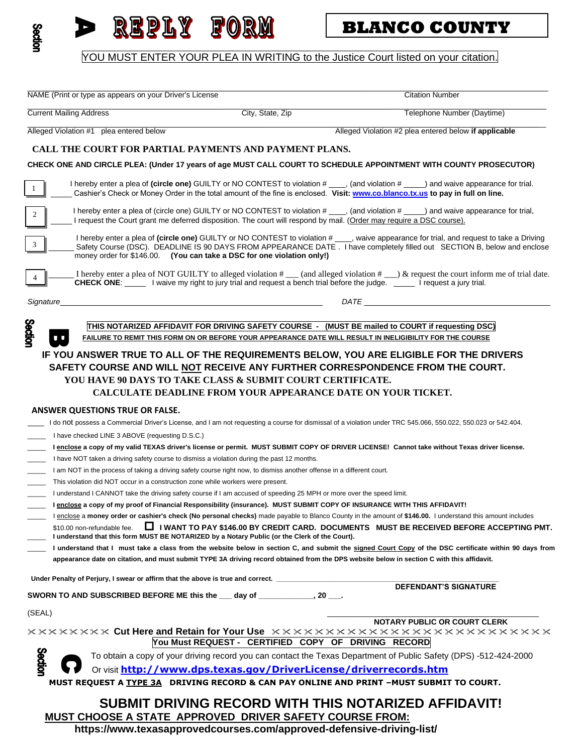

# e y d'a

## **BLANCO COUNTY**

YOU MUST ENTER YOUR PLEA IN WRITING to the Justice Court listed on your citation.

\_\_\_\_\_\_\_\_\_\_\_\_\_\_\_\_\_\_\_\_\_\_\_\_\_\_\_\_\_\_\_\_\_\_\_\_\_\_\_\_\_\_\_\_\_\_\_\_\_\_\_\_\_\_\_\_\_\_\_\_\_\_\_\_\_\_\_\_\_\_\_\_\_\_\_\_\_\_\_ \_\_\_\_\_\_\_\_\_\_\_\_\_\_\_\_\_\_\_\_\_\_\_\_\_\_\_\_\_\_\_\_\_\_ NAME (Print or type as appears on your Driver's License Citation Number Citation Number

 $\_$  ,  $\_$  ,  $\_$  ,  $\_$  ,  $\_$  ,  $\_$  ,  $\_$  ,  $\_$  ,  $\_$  ,  $\_$  ,  $\_$  ,  $\_$  ,  $\_$  ,  $\_$  ,  $\_$  ,  $\_$  ,  $\_$  ,  $\_$  ,  $\_$  ,  $\_$  ,  $\_$  ,  $\_$  ,  $\_$  ,  $\_$  ,  $\_$  ,  $\_$  ,  $\_$  ,  $\_$  ,  $\_$  ,  $\_$  ,  $\_$  ,  $\_$  ,  $\_$  ,  $\_$  ,  $\_$  ,  $\_$  ,  $\_$  , Current Mailing Address City, State, Zip Telephone Number (Daytime)

Alleged Violation #1 plea entered below Alleged Violation #2 plea entered below **if applicable**

\_\_\_\_\_\_\_\_\_\_\_\_\_\_\_\_\_\_\_\_\_\_\_\_\_\_\_\_\_\_\_\_\_\_\_\_\_\_\_\_\_\_\_\_\_\_\_\_\_\_\_\_\_\_\_\_ \_\_\_\_\_\_\_\_\_\_\_\_\_\_\_\_\_\_\_\_\_\_\_\_\_\_\_\_\_\_\_\_\_\_\_\_\_\_\_\_\_\_\_\_\_\_\_\_\_\_\_

#### **CALL THE COURT FOR PARTIAL PAYMENTS AND PAYMENT PLANS.**

**CHECK ONE AND CIRCLE PLEA: (Under 17 years of age MUST CALL COURT TO SCHEDULE APPOINTMENT WITH COUNTY PROSECUTOR)**

I hereby enter a plea of (circle one) GUILTY or NO CONTEST to violation # \_\_\_\_, (and violation # \_\_\_\_) and waive appearance for trial. \_\_\_\_\_ Cashier's Check or Money Order in the total amount of the fine is enclosed. **Visit[: www.co.blanco.tx.us](http://www.co.blanco.tx.us/) to pay in full on line.**  $\overline{a}$ I hereby enter a plea of (circle one) GUILTY or NO CONTEST to violation # \_\_\_\_, (and violation # \_\_\_\_) and waive appearance for trial, I request the Court grant me deferred disposition. The court will respond by mail. (Order may require a DSC course). Ī I hereby enter a plea of **(circle one)** GUILTY or NO CONTEST to violation # \_\_\_\_, waive appearance for trial, and request to take a Driving Enclosy chick a pica of **Circle One)** Colemburg (Soft Form Court Ech to violation  $\frac{m}{r}$ , wave appearance for that, and request to take a Briving Safety Course (DSC). DEADLINE IS 90 DAYS FROM APPEARANCE DATE . I have co money order for \$146.00. **(You can take a DSC for one violation only!)**  1 2 3

I hereby enter a plea of NOT GUILTY to alleged violation  $\#$  and alleged violation  $\#$   $\Box$ ) & request the court inform me of trial date. **CHECK ONE**: \_\_\_\_\_ I waive my right to jury trial and request a bench trial before the judge. \_\_\_\_\_ I request a jury trial.

*Signature*\_\_\_\_\_\_\_\_\_\_\_\_\_\_\_\_\_\_\_\_\_\_\_\_\_\_\_\_\_\_\_\_\_\_\_\_\_\_\_\_\_\_\_\_\_\_\_\_\_\_\_\_\_\_\_\_\_\_\_\_\_\_ *DATE* \_\_\_\_\_\_\_\_\_\_\_\_\_\_\_\_\_\_\_\_\_\_\_\_\_\_\_\_\_\_\_\_\_\_\_\_\_\_\_\_\_\_\_\_

4

**Section** 

**THIS NOTARIZED AFFIDAVIT FOR DRIVING SAFETY COURSE - (MUST BE mailed to COURT if requesting DSC) FAILURE TO REMIT THIS FORM ON OR BEFORE YOUR APPEARANCE DATE WILL RESULT IN INELIGIBILITY FOR THE COURSE**

#### **IF YOU ANSWER TRUE TO ALL OF THE REQUIREMENTS BELOW, YOU ARE ELIGIBLE FOR THE DRIVERS SAFETY COURSE AND WILL NOT RECEIVE ANY FURTHER CORRESPONDENCE FROM THE COURT. YOU HAVE 90 DAYS TO TAKE CLASS & SUBMIT COURT CERTIFICATE. CALCULATE DEADLINE FROM YOUR APPEARANCE DATE ON YOUR TICKET.**

#### **ANSWER QUESTIONS TRUE OR FALSE.**

| I do not possess a Commercial Driver's License, and I am not requesting a course for dismissal of a violation under TRC 545.066, 550.022, 550.023 or 542.404. |  |
|---------------------------------------------------------------------------------------------------------------------------------------------------------------|--|
| I have checked LINE 3 ABOVE (requesting D.S.C.)                                                                                                               |  |

- \_\_\_\_\_ **I enclose a copy of my valid TEXAS driver's license or permit. MUST SUBMIT COPY OF DRIVER LICENSE! Cannot take without Texas driver license.**
- \_\_\_\_\_ I have NOT taken a driving safety course to dismiss a violation during the past 12 months.
- I am NOT in the process of taking a driving safety course right now, to dismiss another offense in a different court.
- This violation did NOT occur in a construction zone while workers were present.
- \_\_\_\_\_ I understand I CANNOT take the driving safety course if I am accused of speeding 25 MPH or more over the speed limit.
- \_\_\_\_\_ **I enclose a copy of my proof of Financial Responsibility (insurance). MUST SUBMIT COPY OF INSURANCE WITH THIS AFFIDAVIT!**

\_\_\_\_\_ I enclose a **money order or cashier's check (No personal checks)** made payable to Blanco County in the amount of **\$146.00.** I understand this amount includes

- \$10.00 non-refundable fee. I WANT TO PAY \$146.00 BY CREDIT CARD. DOCUMENTS MUST BE RECEIVED BEFORE ACCEPTING PMT. \_\_\_\_\_ **I understand that this form MUST BE NOTARIZED by a Notary Public (or the Clerk of the Court).**
- \_\_\_\_\_ **I understand that I must take a class from the website below in section C, and submit the signed Court Copy of the DSC certificate within 90 days from appearance date on citation, and must submit TYPE 3A driving record obtained from the DPS website below in section C with this affidavit.**

Under Penalty of Perjury, I swear or affirm that the above is true and correct. \_

**SWORN TO AND SUBSCRIBED BEFORE ME this the \_\_\_ day of \_\_\_\_\_\_\_\_\_\_\_\_\_, 20 \_\_\_.**

 $\hspace{0.4cm}$  (SEAL)  $\hspace{0.4cm}$   $\hspace{0.4cm}$   $\hspace{0.4cm}$   $\hspace{0.4cm}$   $\hspace{0.4cm}$   $\hspace{0.4cm}$   $\hspace{0.4cm}$   $\hspace{0.4cm}$   $\hspace{0.4cm}$   $\hspace{0.4cm}$   $\hspace{0.4cm}$   $\hspace{0.4cm}$   $\hspace{0.4cm}$   $\hspace{0.4cm}$   $\hspace{0.4cm}$   $\hspace{0.4cm}$   $\hspace{0.4cm}$ 

|  | <b>NOTARY PUBLIC OR COURT CLERK</b> |  |
|--|-------------------------------------|--|
|  |                                     |  |

 **DEFENDANT'S SIGNATURE**

**Exxxxxxxx Cut Here and Retain for Your Use**  $x \times x \times x \times x \times x \times x \times x \times x \times x \times x \times x \times x \times x$ **You Must REQUEST - CERTIFIED COPY OF DRIVING RECORD**

To obtain a copy of your driving record you can contact the Texas Department of Public Safety (DPS) -512-424-2000

Or visit **<http://www.dps.texas.gov/DriverLicense/driverrecords.htm>**

**MUST REQUEST A TYPE 3A DRIVING RECORD & CAN PAY ONLINE AND PRINT –MUST SUBMIT TO COURT.**

### **SUBMIT DRIVING RECORD WITH THIS NOTARIZED AFFIDAVIT!**

 **MUST CHOOSE A STATE APPROVED DRIVER SAFETY COURSE FROM:** 

**https://www.texasapprovedcourses.com/approved-defensive-driving-list/**